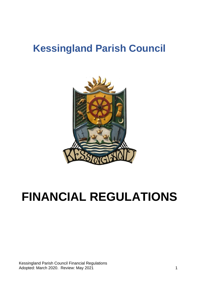# **Kessingland Parish Council**



# **FINANCIAL REGULATIONS**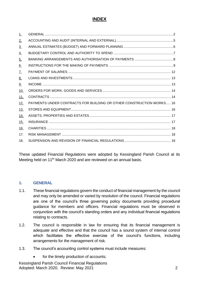# **INDEX**

| $\perp$           |                                                                      |
|-------------------|----------------------------------------------------------------------|
| 2.                |                                                                      |
| $\underline{3}$ . |                                                                      |
| 4.                |                                                                      |
| $\underline{5}$ . |                                                                      |
| <u>6.</u>         |                                                                      |
| 7.                |                                                                      |
| <u>8.</u>         |                                                                      |
| <u>9.</u>         |                                                                      |
| <u>10.</u>        |                                                                      |
| 11.               |                                                                      |
| <u>12.</u>        | PAYMENTS UNDER CONTRACTS FOR BUILDING OR OTHER CONSTRUCTION WORKS 16 |
| <u>13.</u>        |                                                                      |
|                   |                                                                      |
| <u>14.</u>        |                                                                      |
| 15.               |                                                                      |
| <u>16.</u>        |                                                                      |
| 17.               |                                                                      |

These updated Financial Regulations were adopted by Kessingland Parish Council at its Meeting held on 11<sup>th</sup> March 2020 and are reviewed on an annual basis.

#### <span id="page-1-0"></span>**1. GENERAL**

- 1.1. These financial regulations govern the conduct of financial management by the council and may only be amended or varied by resolution of the council. Financial regulations are one of the council's three governing policy documents providing procedural guidance for members and officers. Financial regulations must be observed in conjunction with the council's standing orders and any individual financial regulations relating to contracts.
- 1.2. The council is responsible in law for ensuring that its financial management is adequate and effective and that the council has a sound system of internal control which facilitates the effective exercise of the council's functions, including arrangements for the management of risk.
- 1.3. The council's accounting control systems must include measures:
	- for the timely production of accounts;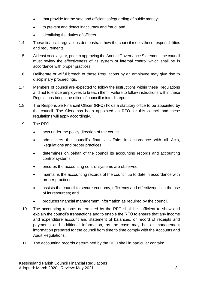- that provide for the safe and efficient safeguarding of public money;
- to prevent and detect inaccuracy and fraud; and
- identifying the duties of officers.
- 1.4. These financial regulations demonstrate how the council meets these responsibilities and requirements.
- 1.5. At least once a year, prior to approving the Annual Governance Statement, the council must review the effectiveness of its system of internal control which shall be in accordance with proper practices.
- 1.6. Deliberate or wilful breach of these Regulations by an employee may give rise to disciplinary proceedings.
- 1.7. Members of council are expected to follow the instructions within these Regulations and not to entice employees to breach them. Failure to follow instructions within these Regulations brings the office of councillor into disrepute.
- 1.8. The Responsible Financial Officer (RFO) holds a statutory office to be appointed by the council. The Clerk has been appointed as RFO for this council and these regulations will apply accordingly.
- 1.9. The RFO;
	- acts under the policy direction of the council;
	- administers the council's financial affairs in accordance with all Acts, Regulations and proper practices;
	- determines on behalf of the council its accounting records and accounting control systems;
	- ensures the accounting control systems are observed;
	- maintains the accounting records of the council up to date in accordance with proper practices;
	- assists the council to secure economy, efficiency and effectiveness in the use of its resources; and
	- produces financial management information as required by the council.
- 1.10. The accounting records determined by the RFO shall be sufficient to show and explain the council's transactions and to enable the RFO to ensure that any income and expenditure account and statement of balances, or record of receipts and payments and additional information, as the case may be, or management information prepared for the council from time to time comply with the Accounts and Audit Regulations.
- 1.11. The accounting records determined by the RFO shall in particular contain: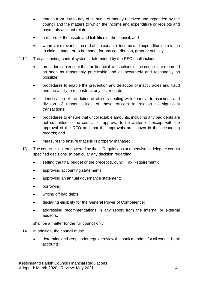- entries from day to day of all sums of money received and expended by the council and the matters to which the income and expenditure or receipts and payments account relate;
- a record of the assets and liabilities of the council; and
- wherever relevant, a record of the council's income and expenditure in relation to claims made, or to be made, for any contribution, grant or subsidy.
- 1.12. The accounting control systems determined by the RFO shall include:
	- procedures to ensure that the financial transactions of the council are recorded as soon as reasonably practicable and as accurately and reasonably as possible;
	- procedures to enable the prevention and detection of inaccuracies and fraud and the ability to reconstruct any lost records;
	- identification of the duties of officers dealing with financial transactions and division of responsibilities of those officers in relation to significant transactions;
	- procedures to ensure that uncollectable amounts, including any bad debts are not submitted to the council for approval to be written off except with the approval of the RFO and that the approvals are shown in the accounting records; and
	- measures to ensure that risk is properly managed.
- 1.13. The council is not empowered by these Regulations or otherwise to delegate certain specified decisions. In particular any decision regarding:
	- setting the final budget or the precept (Council Tax Requirement);
	- approving accounting statements;
	- approving an annual governance statement;
	- borrowing:
	- writing off bad debts;
	- declaring eligibility for the General Power of Competence;
	- addressing recommendations in any report from the internal or external auditors;

shall be a matter for the full council only.

- 1.14. In addition, the council must:
	- determine and keep under regular review the bank mandate for all council bank accounts;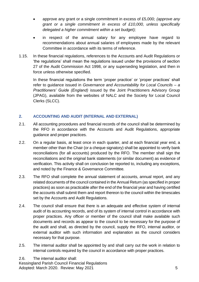- approve any grant or a single commitment in excess of £5,000; *(approve any grant or a single commitment in excess of £10,000, unless specifically delegated a higher commitment within a set budget);*
- in respect of the annual salary for any employee have regard to recommendations about annual salaries of employees made by the relevant Committee in accordance with its terms of reference.
- 1.15. In these financial regulations, references to the Accounts and Audit Regulations or 'the regulations' shall mean the regulations issued under the provisions of section 27 of the Audit Commission Act 1998, or any superseding legislation, and then in force unless otherwise specified.

In these financial regulations the term 'proper practice' or 'proper practices' shall refer to guidance issued in *Governance and Accountability for Local Councils – a Practitioners' Guide (England)* issued by the Joint Practitioners Advisory Group (JPAG), available from the websites of NALC and the Society for Local Council Clerks (SLCC).

# <span id="page-4-0"></span>**2. ACCOUNTING AND AUDIT (INTERNAL AND EXTERNAL)**

- 2.1. All accounting procedures and financial records of the council shall be determined by the RFO in accordance with the Accounts and Audit Regulations, appropriate guidance and proper practices.
- 2.2. On a regular basis, at least once in each quarter, and at each financial year end, a member other than the Chair (or a cheque signatory) shall be appointed to verify bank reconciliations (for all accounts) produced by the RFO. The member shall sign the reconciliations and the original bank statements (or similar document) as evidence of verification. This activity shall on conclusion be reported to, including any exceptions, and noted by the Finance & Governance Committee*.*
- 2.3. The RFO shall complete the annual statement of accounts, annual report, and any related documents of the council contained in the Annual Return (as specified in proper practices) as soon as practicable after the end of the financial year and having certified the accounts shall submit them and report thereon to the council within the timescales set by the Accounts and Audit Regulations.
- 2.4. The council shall ensure that there is an adequate and effective system of internal audit of its accounting records, and of its system of internal control in accordance with proper practices. Any officer or member of the council shall make available such documents and records as appear to the council to be necessary for the purpose of the audit and shall, as directed by the council, supply the RFO, internal auditor, or external auditor with such information and explanation as the council considers necessary for that purpose.
- 2.5. The internal auditor shall be appointed by and shall carry out the work in relation to internal controls required by the council in accordance with proper practices.

Kessingland Parish Council Financial Regulations Adopted: March 2020. Review: May 2021 5 2.6. The internal auditor shall: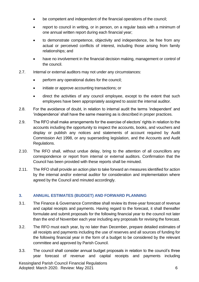- be competent and independent of the financial operations of the council;
- report to council in writing, or in person, on a regular basis with a minimum of one annual written report during each financial year;
- to demonstrate competence, objectivity and independence, be free from any actual or perceived conflicts of interest, including those arising from family relationships; and
- have no involvement in the financial decision making, management or control of the council.
- 2.7. Internal or external auditors may not under any circumstances:
	- perform any operational duties for the council;
	- initiate or approve accounting transactions; or
	- direct the activities of any council employee, except to the extent that such employees have been appropriately assigned to assist the internal auditor.
- 2.8. For the avoidance of doubt, in relation to internal audit the terms 'independent' and 'independence' shall have the same meaning as is described in proper practices.
- 2.9. The RFO shall make arrangements for the exercise of electors' rights in relation to the accounts including the opportunity to inspect the accounts, books, and vouchers and display or publish any notices and statements of account required by Audit Commission Act 1998, or any superseding legislation, and the Accounts and Audit Regulations.
- 2.10. The RFO shall, without undue delay, bring to the attention of all councillors any correspondence or report from internal or external auditors. Confirmation that the Council has been provided with these reports shall be minuted.
- 2.11. The RFO shall provide an action plan to take forward an measures identified for action by the internal and/or external auditor for consideration and implementation where agreed by the Council and minuted accordingly.

# <span id="page-5-0"></span>**3. ANNUAL ESTIMATES (BUDGET) AND FORWARD PLANNING**

- 3.1. The Finance & Governance Committee shall review its three-year forecast of revenue and capital receipts and payments. Having regard to the forecast, it shall thereafter formulate and submit proposals for the following financial year to the council not later than the end of November each year including any proposals for revising the forecast.
- 3.2. The RFO must each year, by no later than December, prepare detailed estimates of all receipts and payments including the use of reserves and all sources of funding for the following financial year in the form of a budget to be considered by the relevant committee and approved by Parish Council.
- 3.3. The council shall consider annual budget proposals in relation to the council's three year forecast of revenue and capital receipts and payments including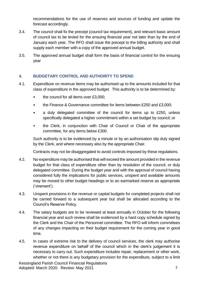recommendations for the use of reserves and sources of funding and update the forecast accordingly.

- 3.4. The council shall fix the precept (council tax requirement), and relevant basic amount of council tax to be levied for the ensuing financial year not later than by the end of January each year. The RFO shall issue the precept to the billing authority and shall supply each member with a copy of the approved annual budget.
- 3.5. The approved annual budget shall form the basis of financial control for the ensuing year

# <span id="page-6-0"></span>**4. BUDGETARY CONTROL AND AUTHORITY TO SPEND**

- 4.1. Expenditure on revenue items may be authorised up to the amounts included for that class of expenditure in the approved budget. This authority is to be determined by:
	- the council for all items over £3,000;
	- the Finance & Governance committee for items between £250 and £3,000;
	- a duly delegated committee of the council for items up to £250*,* unless specifically delegated a higher commitment within a set budget by council; or
	- the Clerk, in conjunction with Chair of Council or Chair of the appropriate committee, for any items below £300.

Such authority is to be evidenced by a minute or by an authorisation slip duly signed by the Clerk, and where necessary also by the appropriate Chair.

Contracts may not be disaggregated to avoid controls imposed by these regulations.

- 4.2. No expenditure may be authorised that will exceed the amount provided in the revenue budget for that class of expenditure other than by resolution of the council, or duly delegated committee. During the budget year and with the approval of council having considered fully the implications for public services, unspent and available amounts may be moved to other budget headings or to an earmarked reserve as appropriate ('virement').
- 4.3. Unspent provisions in the revenue or capital budgets for completed projects shall not be carried forward to a subsequent year but shall be allocated according to the Council's Reserve Policy.
- 4.4. The salary budgets are to be reviewed at least annually in October for the following financial year and such review shall be evidenced by a hard copy schedule signed by the Clerk and the Chair of the Personnel committee. The RFO will inform committees of any changes impacting on their budget requirement for the coming year in good time.
- 4.5. In cases of extreme risk to the delivery of council services, the clerk may authorise revenue expenditure on behalf of the council which in the clerk's judgement it is necessary to carry out. Such expenditure includes repair, replacement or other work, whether or not there is any budgetary provision for the expenditure, subject to a limit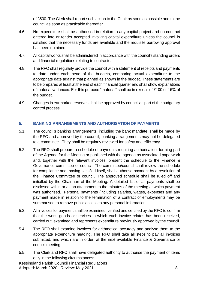of £500. The Clerk shall report such action to the Chair as soon as possible and to the council as soon as practicable thereafter.

- 4.6. No expenditure shall be authorised in relation to any capital project and no contract entered into or tender accepted involving capital expenditure unless the council is satisfied that the necessary funds are available and the requisite borrowing approval has been obtained.
- 4.7. All capital works shall be administered in accordance with the council's standing orders and financial regulations relating to contracts.
- 4.8. The RFO shall regularly provide the council with a statement of receipts and payments to date under each head of the budgets, comparing actual expenditure to the appropriate date against that planned as shown in the budget. These statements are to be prepared at least at the end of each financial quarter and shall show explanations of material variances. For this purpose "material" shall be in excess of £100 or 15% of the budget.
- 4.9. Changes in earmarked reserves shall be approved by council as part of the budgetary control process.

# <span id="page-7-0"></span>**5. BANKING ARRANGEMENTS AND AUTHORISATION OF PAYMENTS**

- 5.1. The council's banking arrangements, including the bank mandate, shall be made by the RFO and approved by the council; banking arrangements may not be delegated to a committee. They shall be regularly reviewed for safety and efficiency.
- 5.2. The RFO shall prepare a schedule of payments requiring authorisation, forming part of the Agenda for the Meeting *or* published with the agenda as associated paperwork and, together with the relevant invoices, present the schedule to the Finance & Governance committee or council. The committee/council shall review the schedule for compliance and, having satisfied itself, shall authorise payment by a resolution of the Finance Committee or council*.* The approved schedule shall be ruled off and initialled by the Chairman of the Meeting. A detailed list of all payments shall be disclosed within or as an attachment to the minutes of the meeting at which payment was authorised. Personal payments (including salaries, wages, expenses and any payment made in relation to the termination of a contract of employment) may be summarised to remove public access to any personal information.
- 5.3. All invoices for payment shall be examined, verified and certified by the RFO to confirm that the work, goods or services to which each invoice relates has been received, carried out, examined and represents expenditure previously approved by the council.
- 5.4. The RFO shall examine invoices for arithmetical accuracy and analyse them to the appropriate expenditure heading. The RFO shall take all steps to pay all invoices submitted, and which are in order, at the next available Finance & Governance or council meeting.
- 5.5. The Clerk and RFO shall have delegated authority to authorise the payment of items only in the following circumstances: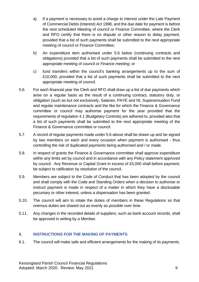- a) If a payment is necessary to avoid a charge to interest under the Late Payment of Commercial Debts (Interest) Act 1998, and the due date for payment is before the next scheduled Meeting of council *or* Finance Committee, where the Clerk and RFO certify that there is no dispute or other reason to delay payment, provided that a list of such payments shall be submitted to the next appropriate meeting of council or Finance Committee;
- b) An expenditure item authorised under 5.6 below (continuing contracts and obligations) provided that a list of such payments shall be submitted to the next appropriate meeting of council *or Finance meeting*; or
- c) fund transfers within the council's banking arrangements up to the sum of £10,000, provided that a list of such payments shall be submitted to the next appropriate meeting of council.
- 5.6. For each financial year the Clerk and RFO shall draw up a list of due payments which arise on a regular basis as the result of a continuing contract, statutory duty, or obligation (such as but not exclusively, Salaries, PAYE and NI, Superannuation Fund and regular maintenance contracts and the like for which the Finance & Governance committee or council may authorise payment for the year provided that the requirements of regulation 4.1 (Budgetary Controls) are adhered to, provided also that a list of such payments shall be submitted to the next appropriate meeting of the Finance & Governance committee or council.
- 5.7. A record of regular payments made under 5.6 above shall be drawn up and be signed by two members on each and every occasion when payment is authorised - thus controlling the risk of duplicated payments being authorised and / or made.
- 5.8. In respect of grants the Finance & Governance committee shall approve expenditure within any limits set by council and in accordance with any Policy statement approved by council. Any Revenue or Capital Grant in excess of £5,000 shall before payment, be subject to ratification by resolution of the council.
- 5.9. Members are subject to the Code of Conduct that has been adopted by the council and shall comply with the Code and Standing Orders when a decision to authorise or instruct payment is made in respect of a matter in which they have a disclosable pecuniary or other interest, unless a dispensation has been granted.
- 5.10. The council will aim to rotate the duties of members in these Regulations so that onerous duties are shared out as evenly as possible over time.
- 5.11. Any changes in the recorded details of suppliers, such as bank account records, shall be approved in writing by a Member.

# <span id="page-8-0"></span>**6. INSTRUCTIONS FOR THE MAKING OF PAYMENTS**

6.1. The council will make safe and efficient arrangements for the making of its payments.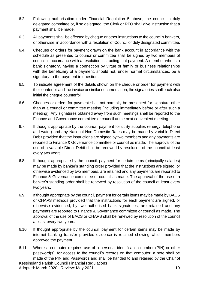- 6.2. Following authorisation under Financial Regulation 5 above, the council, a duly delegated committee or, if so delegated, the Clerk or RFO shall give instruction that a payment shall be made.
- 6.3. All payments shall be effected by cheque or other instructions to the council's bankers, or otherwise, in accordance with a resolution of Council or duly designated committee.
- 6.4. Cheques or orders for payment drawn on the bank account in accordance with the schedule as presented to council or committee shall be signed by two members of council in accordance with a resolution instructing that payment. A member who is a bank signatory, having a connection by virtue of family or business relationships with the beneficiary of a payment, should not, under normal circumstances, be a signatory to the payment in question.
- 6.5. To indicate agreement of the details shown on the cheque or order for payment with the counterfoil and the invoice or similar documentation, the signatories shall each also initial the cheque counterfoil.
- 6.6. Cheques or orders for payment shall not normally be presented for signature other than at a council or committee meeting (including immediately before or after such a meeting). Any signatures obtained away from such meetings shall be reported to the Finance and Governance committee or council at the next convenient meeting.
- 6.7. If thought appropriate by the council, payment for utility supplies (energy, telephone and water) and any National Non-Domestic Rates may be made by variable Direct Debit provided that the instructions are signed by two members and any payments are reported to Finance & Governance committee or council as made. The approval of the use of a variable Direct Debit shall be renewed by resolution of the council at least every two years.
- 6.8. If thought appropriate by the council, payment for certain items (principally salaries) may be made by banker's standing order provided that the instructions are signed, or otherwise evidenced by two members, are retained and any payments are reported to Finance & Governance committee or council as made. The approval of the use of a banker's standing order shall be renewed by resolution of the council at least every two years.
- 6.9. If thought appropriate by the council, payment for certain items may be made by BACS or CHAPS methods provided that the instructions for each payment are signed, or otherwise evidenced, by two authorised bank signatories, are retained and any payments are reported to Finance & Governance committee or council as made. The approval of the use of BACS or CHAPS shall be renewed by resolution of the council at least every two years.
- 6.10. If thought appropriate by the council, payment for certain items may be made by internet banking transfer provided evidence is retained showing which members approved the payment.
- Kessingland Parish Council Financial Regulations Adopted: March 2020. Review: May 2021 10 6.11. Where a computer requires use of a personal identification number (PIN) or other password(s), for access to the council's records on that computer, a note shall be made of the PIN and Passwords and shall be handed to and retained by the Chair of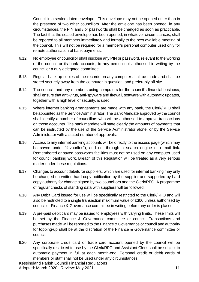Council in a sealed dated envelope. This envelope may not be opened other than in the presence of two other councillors. After the envelope has been opened, in any circumstances, the PIN and / or passwords shall be changed as soon as practicable. The fact that the sealed envelope has been opened, in whatever circumstances, shall be reported to all members immediately and formally to the next available meeting of the council. This will not be required for a member's personal computer used only for remote authorisation of bank payments.

- 6.12. No employee or councillor shall disclose any PIN or password, relevant to the working of the council or its bank accounts, to any person not authorised in writing by the council or a duly delegated committee.
- 6.13. Regular back-up copies of the records on any computer shall be made and shall be stored securely away from the computer in question, and preferably off site.
- 6.14. The council, and any members using computers for the council's financial business, shall ensure that anti-virus, anti-spyware and firewall, software with automatic updates, together with a high level of security, is used.
- 6.15. Where internet banking arrangements are made with any bank, the Clerk/RFO shall be appointed as the Service Administrator. The Bank Mandate approved by the council shall identify a number of councillors who will be authorised to approve transactions on those accounts. The bank mandate will state clearly the amounts of payments that can be instructed by the use of the Service Administrator alone, or by the Service Administrator with a stated number of approvals.
- 6.16. Access to any internet banking accounts will be directly to the access page (which may be saved under "favourites"), and not through a search engine or e-mail link. Remembered or saved passwords facilities must not be used on any computer used for council banking work. Breach of this Regulation will be treated as a very serious matter under these regulations.
- 6.17. Changes to account details for suppliers, which are used for internet banking may only be changed on written hard copy notification by the supplier and supported by hard copy authority for change signed by two councillors and the Clerk/RFO. A programme of regular checks of standing data with suppliers will be followed.
- 6.18. Any Debit Card issued for use will be specifically restricted to the Clerk/RFO and will also be restricted to a single transaction maximum value of £300 unless authorised by council or Finance & Governance committee in writing before any order is placed.
- 6.19. A pre-paid debit card may be issued to employees with varying limits. These limits will be set by the Finance & Governance committee or council. Transactions and purchases made will be reported to the Finance & Governance or council and authority for topping-up shall be at the discretion of the Finance & Governance committee or council.
- 6.20. Any corporate credit card or trade card account opened by the council will be specifically restricted to use by the Clerk/RFO and Assistant Clerk shall be subject to automatic payment in full at each month-end. Personal credit or debit cards of members or staff shall not be used under any circumstances.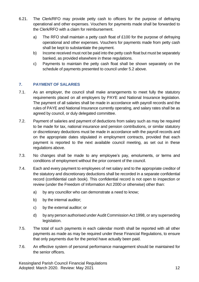- 6.21. The Clerk/RFO may provide petty cash to officers for the purpose of defraying operational and other expenses. Vouchers for payments made shall be forwarded to the Clerk/RFO with a claim for reimbursement.
	- a) The RFO shall maintain a petty cash float of £100 for the purpose of defraying operational and other expenses. Vouchers for payments made from petty cash shall be kept to substantiate the payment.
	- b) Income received must not be paid into the petty cash float but must be separately banked, as provided elsewhere in these regulations.
	- c) Payments to maintain the petty cash float shall be shown separately on the schedule of payments presented to council under 5.2 above.

# <span id="page-11-0"></span>**7. PAYMENT OF SALARIES**

- 7.1. As an employer, the council shall make arrangements to meet fully the statutory requirements placed on all employers by PAYE and National Insurance legislation. The payment of all salaries shall be made in accordance with payroll records and the rules of PAYE and National Insurance currently operating, and salary rates shall be as agreed by council, or duly delegated committee.
- 7.2. Payment of salaries and payment of deductions from salary such as may be required to be made for tax, national insurance and pension contributions, or similar statutory or discretionary deductions must be made in accordance with the payroll records and on the appropriate dates stipulated in employment contracts, provided that each payment is reported to the next available council meeting, as set out in these regulations above.
- 7.3. No changes shall be made to any employee's pay, emoluments, or terms and conditions of employment without the prior consent of the council.
- 7.4. Each and every payment to employees of net salary and to the appropriate creditor of the statutory and discretionary deductions shall be recorded in a separate confidential record (confidential cash book). This confidential record is not open to inspection or review (under the Freedom of Information Act 2000 or otherwise) other than:
	- a) by any councillor who can demonstrate a need to know;
	- b) by the internal auditor;
	- c) by the external auditor; or
	- d) by any person authorised under Audit Commission Act 1998, or any superseding legislation.
- 7.5. The total of such payments in each calendar month shall be reported with all other payments as made as may be required under these Financial Regulations, to ensure that only payments due for the period have actually been paid.
- 7.6. An effective system of personal performance management should be maintained for the senior officers.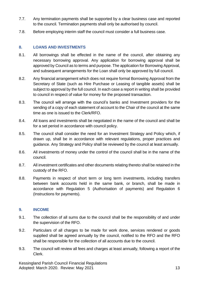- 7.7. Any termination payments shall be supported by a clear business case and reported to the council. Termination payments shall only be authorised by council.
- 7.8. Before employing interim staff the council must consider a full business case.

#### <span id="page-12-0"></span>**8. LOANS AND INVESTMENTS**

- 8.1. All borrowings shall be effected in the name of the council, after obtaining any necessary borrowing approval. Any application for borrowing approval shall be approved by Council as to terms and purpose. The application for Borrowing Approval, and subsequent arrangements for the Loan shall only be approved by full council.
- 8.2. Any financial arrangement which does not require formal Borrowing Approval from the Secretary of State (such as Hire Purchase or Leasing of tangible assets) shall be subject to approval by the full council. In each case a report in writing shall be provided to council in respect of value for money for the proposed transaction.
- 8.3. The council will arrange with the council's banks and Investment providers for the sending of a copy of each statement of account to the Chair of the council at the same time as one is issued to the Clerk/RFO.
- 8.4. All loans and investments shall be negotiated in the name of the council and shall be for a set period in accordance with council policy.
- 8.5. The council shall consider the need for an Investment Strategy and Policy which, if drawn up, shall be in accordance with relevant regulations, proper practices and guidance. Any Strategy and Policy shall be reviewed by the council at least annually.
- 8.6. All investments of money under the control of the council shall be in the name of the council.
- 8.7. All investment certificates and other documents relating thereto shall be retained in the custody of the RFO.
- 8.8. Payments in respect of short term or long term investments, including transfers between bank accounts held in the same bank, or branch, shall be made in accordance with Regulation 5 (Authorisation of payments) and Regulation 6 (Instructions for payments).

#### <span id="page-12-1"></span>**9. INCOME**

- 9.1. The collection of all sums due to the council shall be the responsibility of and under the supervision of the RFO.
- 9.2. Particulars of all charges to be made for work done, services rendered or goods supplied shall be agreed annually by the council, notified to the RFO and the RFO shall be responsible for the collection of all accounts due to the council.
- 9.3. The council will review all fees and charges at least annually, following a report of the Clerk.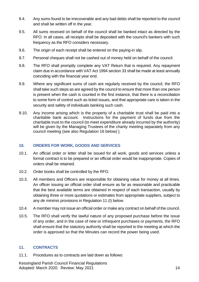- 9.4. Any sums found to be irrecoverable and any bad debts shall be reported to the council and shall be written off in the year.
- 9.5. All sums received on behalf of the council shall be banked intact as directed by the RFO. In all cases, all receipts shall be deposited with the council's bankers with such frequency as the RFO considers necessary.
- 9.6. The origin of each receipt shall be entered on the paying-in slip.
- 9.7. Personal cheques shall not be cashed out of money held on behalf of the council.
- 9.8. The RFO shall promptly complete any VAT Return that is required. Any repayment claim due in accordance with VAT Act 1994 section 33 shall be made at least annually coinciding with the financial year end.
- 9.9. Where any significant sums of cash are regularly received by the council, the RFO shall take such steps as are agreed by the council to ensure that more than one person is present when the cash is counted in the first instance, that there is a reconciliation to some form of control such as ticket issues, and that appropriate care is taken in the security and safety of individuals banking such cash.
- 9.10. Any income arising which is the property of a charitable trust shall be paid into a charitable bank account. Instructions for the payment of funds due from the charitable trust to the council (to meet expenditure already incurred by the authority) will be given by the Managing Trustees of the charity meeting separately from any council meeting (see also Regulation 16 below) ].

# <span id="page-13-0"></span>**10. ORDERS FOR WORK, GOODS AND SERVICES**

- 10.1. An official order or letter shall be issued for all work, goods and services unless a formal contract is to be prepared or an official order would be inappropriate. Copies of orders shall be retained.
- 10.2. Order books shall be controlled by the RFO.
- 10.3. All members and Officers are responsible for obtaining value for money at all times. An officer issuing an official order shall ensure as far as reasonable and practicable that the best available terms are obtained in respect of each transaction, usually by obtaining three or more quotations or estimates from appropriate suppliers, subject to any *de minimis* provisions in Regulation 11 (I) below.
- 10.4. A member may not issue an official order or make any contract on behalf of the council.
- 10.5. The RFO shall verify the lawful nature of any proposed purchase before the issue of any order, and in the case of new or infrequent purchases or payments, the RFO shall ensure that the statutory authority shall be reported to the meeting at which the order is approved so that the Minutes can record the power being used.

# <span id="page-13-1"></span>**11. CONTRACTS**

11.1. Procedures as to contracts are laid down as follows: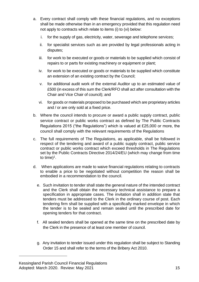- a. Every contract shall comply with these financial regulations, and no exceptions shall be made otherwise than in an emergency provided that this regulation need not apply to contracts which relate to items (i) to (vi) below:
	- i. for the supply of gas, electricity, water, sewerage and telephone services;
	- ii. for specialist services such as are provided by legal professionals acting in disputes;
	- iii. for work to be executed or goods or materials to be supplied which consist of repairs to or parts for existing machinery or equipment or plant;
	- iv. for work to be executed or goods or materials to be supplied which constitute an extension of an existing contract by the Council;
	- v. for additional audit work of the external Auditor up to an estimated value of £500 (in excess of this sum the Clerk/RFO shall act after consultation with the Chair and Vice Chair of council); and
	- vi. for goods or materials proposed to be purchased which are proprietary articles and / or are only sold at a fixed price.
- b. Where the council intends to procure or award a public supply contract, public service contract or public works contract as defined by The Public Contracts Regulations 2015 ("the Regulations") which is valued at £25,000 or more, the council shall comply with the relevant requirements of the Regulations
- c. The full requirements of The Regulations, as applicable, shall be followed in respect of the tendering and award of a public supply contract, public service contract or public works contract which exceed thresholds in The Regulations set by the Public Contracts Directive 2014/24/EU (which may change from time to time)<sup>1</sup>.
- d. When applications are made to waive financial regulations relating to contracts to enable a price to be negotiated without competition the reason shall be embodied in a recommendation to the council.
	- e. Such invitation to tender shall state the general nature of the intended contract and the Clerk shall obtain the necessary technical assistance to prepare a specification in appropriate cases. The invitation shall in addition state that tenders must be addressed to the Clerk in the ordinary course of post. Each tendering firm shall be supplied with a specifically marked envelope in which the tender is to be sealed and remain sealed until the prescribed date for opening tenders for that contract.
	- f. All sealed tenders shall be opened at the same time on the prescribed date by the Clerk in the presence of at least one member of council.
	- g. Any invitation to tender issued under this regulation shall be subject to Standing Order 15 and shall refer to the terms of the Bribery Act 2010.

Kessingland Parish Council Financial Regulations Adopted: March 2020. Review: May 2021 15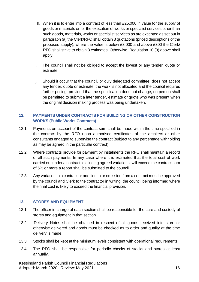- h. When it is to enter into a contract of less than £25,000 in value for the supply of goods or materials or for the execution of works or specialist services other than such goods, materials, works or specialist services as are excepted as set out in paragraph (a) the Clerk/RFO shall obtain 3 quotations (priced descriptions of the proposed supply); where the value is below £3,000 and above £300 the Clerk/ RFO shall strive to obtain 3 estimates. Otherwise, Regulation 10 (3) above shall apply.
- i. The council shall not be obliged to accept the lowest or any tender, quote or estimate.
- j. Should it occur that the council, or duly delegated committee, does not accept any tender, quote or estimate, the work is not allocated and the council requires further pricing, provided that the specification does not change, no person shall be permitted to submit a later tender, estimate or quote who was present when the original decision making process was being undertaken.

# <span id="page-15-0"></span>**12. PAYMENTS UNDER CONTRACTS FOR BUILDING OR OTHER CONSTRUCTION WORKS (Public Works Contracts)**

- 12.1. Payments on account of the contract sum shall be made within the time specified in the contract by the RFO upon authorised certificates of the architect or other consultants engaged to supervise the contract (subject to any percentage withholding as may be agreed in the particular contract).
- 12.2. Where contracts provide for payment by instalments the RFO shall maintain a record of all such payments. In any case where it is estimated that the total cost of work carried out under a contract, excluding agreed variations, will exceed the contract sum of 5% or more a report shall be submitted to the council.
- 12.3. Any variation to a contract or addition to or omission from a contract must be approved by the council and Clerk to the contractor in writing, the council being informed where the final cost is likely to exceed the financial provision.

#### <span id="page-15-1"></span>**13. STORES AND EQUIPMENT**

- 13.1. The officer in charge of each section shall be responsible for the care and custody of stores and equipment in that section.
- 13.2. Delivery Notes shall be obtained in respect of all goods received into store or otherwise delivered and goods must be checked as to order and quality at the time delivery is made.
- 13.3. Stocks shall be kept at the minimum levels consistent with operational requirements.
- 13.4. The RFO shall be responsible for periodic checks of stocks and stores at least annually.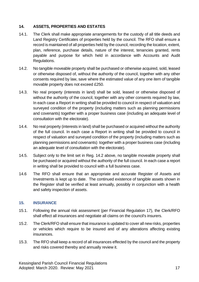#### <span id="page-16-0"></span>**14. ASSETS, PROPERTIES AND ESTATES**

- 14.1. The Clerk shall make appropriate arrangements for the custody of all title deeds and Land Registry Certificates of properties held by the council. The RFO shall ensure a record is maintained of all properties held by the council, recording the location, extent, plan, reference, purchase details, nature of the interest, tenancies granted, rents payable and purpose for which held in accordance with Accounts and Audit Regulations.
- 14.2. No tangible moveable property shall be purchased or otherwise acquired, sold, leased or otherwise disposed of, without the authority of the council, together with any other consents required by law, save where the estimated value of any one item of tangible movable property does not exceed £250.
- 14.3. No real property (interests in land) shall be sold, leased or otherwise disposed of without the authority of the council, together with any other consents required by law, In each case a Report in writing shall be provided to council in respect of valuation and surveyed condition of the property (including matters such as planning permissions and covenants) together with a proper business case (including an adequate level of consultation with the electorate).
- 14.4. No real property (interests in land) shall be purchased or acquired without the authority of the full council. In each case a Report in writing shall be provided to council in respect of valuation and surveyed condition of the property (including matters such as planning permissions and covenants) together with a proper business case (including an adequate level of consultation with the electorate).
- 14.5. Subject only to the limit set in Reg. 14.2 above, no tangible moveable property shall be purchased or acquired without the authority of the full council. In each case a report in writing shall be provided to council with a full business case.
- 14.6 The RFO shall ensure that an appropriate and accurate Register of Assets and Investments is kept up to date. The continued existence of tangible assets shown in the Register shall be verified at least annually, possibly in conjunction with a health and safety inspection of assets.

#### <span id="page-16-1"></span>**15. INSURANCE**

- 15.1. Following the annual risk assessment (per Financial Regulation 17), the Clerk/RFO shall effect all insurances and negotiate all claims on the council's insurers.
- 15.2. The Clerk/RFO shall ensure that insurance is updated to cover all new risks, properties or vehicles which require to be insured and of any alterations affecting existing insurances.
- 15.3. The RFO shall keep a record of all insurances effected by the council and the property and risks covered thereby and annually review it.